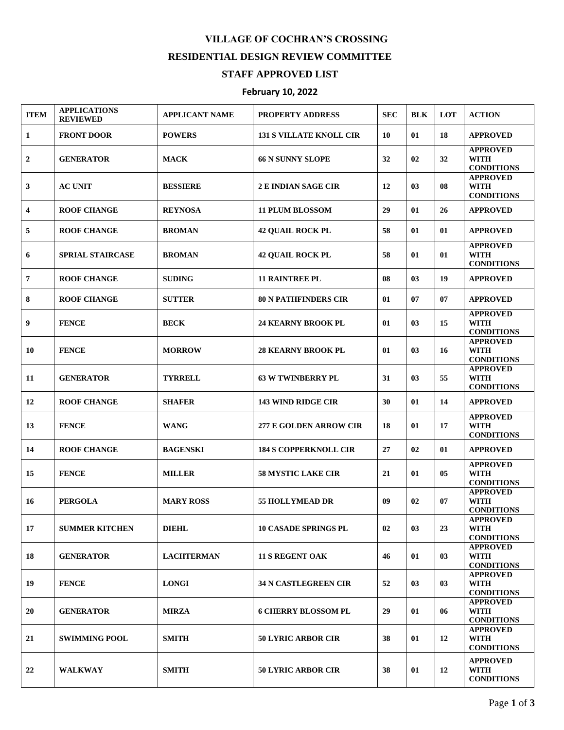## **VILLAGE OF COCHRAN'S CROSSING RESIDENTIAL DESIGN REVIEW COMMITTEE**

## **STAFF APPROVED LIST**

## **February 10, 2022**

| <b>ITEM</b>             | <b>APPLICATIONS</b><br><b>REVIEWED</b> | <b>APPLICANT NAME</b> | <b>PROPERTY ADDRESS</b>        | <b>SEC</b> | <b>BLK</b> | <b>LOT</b> | <b>ACTION</b>                                       |
|-------------------------|----------------------------------------|-----------------------|--------------------------------|------------|------------|------------|-----------------------------------------------------|
| 1                       | <b>FRONT DOOR</b>                      | <b>POWERS</b>         | <b>131 S VILLATE KNOLL CIR</b> | 10         | 01         | 18         | <b>APPROVED</b>                                     |
| $\boldsymbol{2}$        | <b>GENERATOR</b>                       | <b>MACK</b>           | <b>66 N SUNNY SLOPE</b>        | 32         | 02         | 32         | <b>APPROVED</b><br><b>WITH</b><br><b>CONDITIONS</b> |
| 3                       | <b>AC UNIT</b>                         | <b>BESSIERE</b>       | <b>2 E INDIAN SAGE CIR</b>     | 12         | 03         | 08         | <b>APPROVED</b><br><b>WITH</b><br><b>CONDITIONS</b> |
| $\overline{\mathbf{4}}$ | <b>ROOF CHANGE</b>                     | <b>REYNOSA</b>        | <b>11 PLUM BLOSSOM</b>         | 29         | 01         | 26         | <b>APPROVED</b>                                     |
| 5                       | <b>ROOF CHANGE</b>                     | <b>BROMAN</b>         | <b>42 QUAIL ROCK PL</b>        | 58         | 01         | 01         | <b>APPROVED</b>                                     |
| 6                       | <b>SPRIAL STAIRCASE</b>                | <b>BROMAN</b>         | <b>42 QUAIL ROCK PL</b>        | 58         | 01         | 01         | <b>APPROVED</b><br><b>WITH</b><br><b>CONDITIONS</b> |
| $\overline{7}$          | <b>ROOF CHANGE</b>                     | <b>SUDING</b>         | <b>11 RAINTREE PL</b>          | 08         | 03         | 19         | <b>APPROVED</b>                                     |
| 8                       | <b>ROOF CHANGE</b>                     | <b>SUTTER</b>         | <b>80 N PATHFINDERS CIR</b>    | 01         | 07         | 07         | <b>APPROVED</b>                                     |
| 9                       | <b>FENCE</b>                           | <b>BECK</b>           | <b>24 KEARNY BROOK PL</b>      | 01         | 03         | 15         | <b>APPROVED</b><br><b>WITH</b><br><b>CONDITIONS</b> |
| 10                      | <b>FENCE</b>                           | <b>MORROW</b>         | <b>28 KEARNY BROOK PL</b>      | 01         | 03         | 16         | <b>APPROVED</b><br><b>WITH</b><br><b>CONDITIONS</b> |
| 11                      | <b>GENERATOR</b>                       | <b>TYRRELL</b>        | <b>63 W TWINBERRY PL</b>       | 31         | 03         | 55         | <b>APPROVED</b><br><b>WITH</b><br><b>CONDITIONS</b> |
| 12                      | <b>ROOF CHANGE</b>                     | <b>SHAFER</b>         | <b>143 WIND RIDGE CIR</b>      | 30         | 01         | 14         | <b>APPROVED</b>                                     |
| 13                      | <b>FENCE</b>                           | <b>WANG</b>           | <b>277 E GOLDEN ARROW CIR</b>  | 18         | 01         | 17         | <b>APPROVED</b><br><b>WITH</b><br><b>CONDITIONS</b> |
| 14                      | <b>ROOF CHANGE</b>                     | <b>BAGENSKI</b>       | <b>184 S COPPERKNOLL CIR</b>   | 27         | 02         | 01         | <b>APPROVED</b>                                     |
| 15                      | <b>FENCE</b>                           | <b>MILLER</b>         | <b>58 MYSTIC LAKE CIR</b>      | 21         | 01         | 05         | <b>APPROVED</b><br><b>WITH</b><br><b>CONDITIONS</b> |
| 16                      | <b>PERGOLA</b>                         | <b>MARY ROSS</b>      | <b>55 HOLLYMEAD DR</b>         | 09         | 02         | 07         | <b>APPROVED</b><br><b>WITH</b><br><b>CONDITIONS</b> |
| 17                      | <b>SUMMER KITCHEN</b>                  | <b>DIEHL</b>          | <b>10 CASADE SPRINGS PL</b>    | 02         | 03         | 23         | <b>APPROVED</b><br><b>WITH</b><br><b>CONDITIONS</b> |
| 18                      | <b>GENERATOR</b>                       | <b>LACHTERMAN</b>     | <b>11 S REGENT OAK</b>         | 46         | 01         | 03         | <b>APPROVED</b><br><b>WITH</b><br><b>CONDITIONS</b> |
| 19                      | <b>FENCE</b>                           | <b>LONGI</b>          | <b>34 N CASTLEGREEN CIR</b>    | 52         | 03         | 03         | <b>APPROVED</b><br><b>WITH</b><br><b>CONDITIONS</b> |
| 20                      | <b>GENERATOR</b>                       | <b>MIRZA</b>          | <b>6 CHERRY BLOSSOM PL</b>     | 29         | 01         | 06         | <b>APPROVED</b><br><b>WITH</b><br><b>CONDITIONS</b> |
| 21                      | <b>SWIMMING POOL</b>                   | <b>SMITH</b>          | <b>50 LYRIC ARBOR CIR</b>      | 38         | 01         | 12         | <b>APPROVED</b><br><b>WITH</b><br><b>CONDITIONS</b> |
| 22                      | <b>WALKWAY</b>                         | <b>SMITH</b>          | <b>50 LYRIC ARBOR CIR</b>      | 38         | 01         | 12         | <b>APPROVED</b><br><b>WITH</b><br><b>CONDITIONS</b> |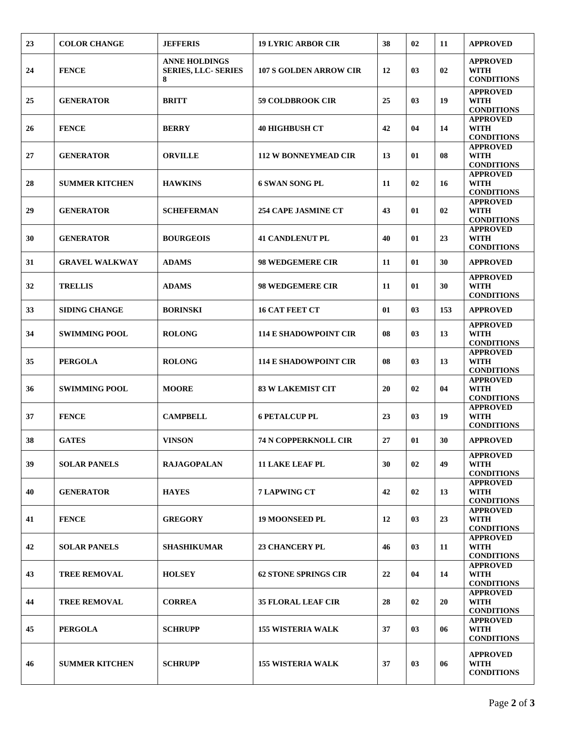| 23 | <b>COLOR CHANGE</b>   | <b>JEFFERIS</b>                                         | <b>19 LYRIC ARBOR CIR</b>     | 38 | 02 | 11  | <b>APPROVED</b>                                     |
|----|-----------------------|---------------------------------------------------------|-------------------------------|----|----|-----|-----------------------------------------------------|
| 24 | <b>FENCE</b>          | <b>ANNE HOLDINGS</b><br><b>SERIES, LLC- SERIES</b><br>8 | <b>107 S GOLDEN ARROW CIR</b> | 12 | 03 | 02  | <b>APPROVED</b><br>WITH<br><b>CONDITIONS</b>        |
| 25 | <b>GENERATOR</b>      | <b>BRITT</b>                                            | <b>59 COLDBROOK CIR</b>       | 25 | 03 | 19  | <b>APPROVED</b><br>WITH<br><b>CONDITIONS</b>        |
| 26 | <b>FENCE</b>          | <b>BERRY</b>                                            | <b>40 HIGHBUSH CT</b>         | 42 | 04 | 14  | <b>APPROVED</b><br><b>WITH</b><br><b>CONDITIONS</b> |
| 27 | <b>GENERATOR</b>      | <b>ORVILLE</b>                                          | <b>112 W BONNEYMEAD CIR</b>   | 13 | 01 | 08  | <b>APPROVED</b><br><b>WITH</b><br><b>CONDITIONS</b> |
| 28 | <b>SUMMER KITCHEN</b> | <b>HAWKINS</b>                                          | 6 SWAN SONG PL                | 11 | 02 | 16  | <b>APPROVED</b><br><b>WITH</b><br><b>CONDITIONS</b> |
| 29 | <b>GENERATOR</b>      | <b>SCHEFERMAN</b>                                       | <b>254 CAPE JASMINE CT</b>    | 43 | 01 | 02  | <b>APPROVED</b><br><b>WITH</b><br><b>CONDITIONS</b> |
| 30 | <b>GENERATOR</b>      | <b>BOURGEOIS</b>                                        | <b>41 CANDLENUT PL</b>        | 40 | 01 | 23  | <b>APPROVED</b><br><b>WITH</b><br><b>CONDITIONS</b> |
| 31 | <b>GRAVEL WALKWAY</b> | <b>ADAMS</b>                                            | <b>98 WEDGEMERE CIR</b>       | 11 | 01 | 30  | <b>APPROVED</b>                                     |
| 32 | <b>TRELLIS</b>        | <b>ADAMS</b>                                            | <b>98 WEDGEMERE CIR</b>       | 11 | 01 | 30  | <b>APPROVED</b><br><b>WITH</b><br><b>CONDITIONS</b> |
| 33 | <b>SIDING CHANGE</b>  | <b>BORINSKI</b>                                         | <b>16 CAT FEET CT</b>         | 01 | 03 | 153 | <b>APPROVED</b>                                     |
| 34 | <b>SWIMMING POOL</b>  | <b>ROLONG</b>                                           | <b>114 E SHADOWPOINT CIR</b>  | 08 | 03 | 13  | <b>APPROVED</b><br><b>WITH</b><br><b>CONDITIONS</b> |
| 35 | <b>PERGOLA</b>        | <b>ROLONG</b>                                           | <b>114 E SHADOWPOINT CIR</b>  | 08 | 03 | 13  | <b>APPROVED</b><br><b>WITH</b><br><b>CONDITIONS</b> |
| 36 | <b>SWIMMING POOL</b>  | <b>MOORE</b>                                            | <b>83 W LAKEMIST CIT</b>      | 20 | 02 | 04  | <b>APPROVED</b><br><b>WITH</b><br><b>CONDITIONS</b> |
| 37 | <b>FENCE</b>          | <b>CAMPBELL</b>                                         | <b>6 PETALCUP PL</b>          | 23 | 03 | 19  | <b>APPROVED</b><br><b>WITH</b><br><b>CONDITIONS</b> |
| 38 | <b>GATES</b>          | <b>VINSON</b>                                           | <b>74 N COPPERKNOLL CIR</b>   | 27 | 01 | 30  | <b>APPROVED</b>                                     |
| 39 | <b>SOLAR PANELS</b>   | <b>RAJAGOPALAN</b>                                      | <b>11 LAKE LEAF PL</b>        | 30 | 02 | 49  | <b>APPROVED</b><br><b>WITH</b><br><b>CONDITIONS</b> |
| 40 | <b>GENERATOR</b>      | <b>HAYES</b>                                            | <b>7 LAPWING CT</b>           | 42 | 02 | 13  | <b>APPROVED</b><br><b>WITH</b><br><b>CONDITIONS</b> |
| 41 | <b>FENCE</b>          | <b>GREGORY</b>                                          | <b>19 MOONSEED PL</b>         | 12 | 03 | 23  | <b>APPROVED</b><br><b>WITH</b><br><b>CONDITIONS</b> |
| 42 | <b>SOLAR PANELS</b>   | <b>SHASHIKUMAR</b>                                      | <b>23 CHANCERY PL</b>         | 46 | 03 | 11  | <b>APPROVED</b><br><b>WITH</b><br><b>CONDITIONS</b> |
| 43 | <b>TREE REMOVAL</b>   | <b>HOLSEY</b>                                           | <b>62 STONE SPRINGS CIR</b>   | 22 | 04 | 14  | <b>APPROVED</b><br><b>WITH</b><br><b>CONDITIONS</b> |
| 44 | <b>TREE REMOVAL</b>   | <b>CORREA</b>                                           | <b>35 FLORAL LEAF CIR</b>     | 28 | 02 | 20  | <b>APPROVED</b><br><b>WITH</b><br><b>CONDITIONS</b> |
| 45 | <b>PERGOLA</b>        | <b>SCHRUPP</b>                                          | <b>155 WISTERIA WALK</b>      | 37 | 03 | 06  | <b>APPROVED</b><br>WITH<br><b>CONDITIONS</b>        |
| 46 | <b>SUMMER KITCHEN</b> | <b>SCHRUPP</b>                                          | <b>155 WISTERIA WALK</b>      | 37 | 03 | 06  | <b>APPROVED</b><br>WITH<br><b>CONDITIONS</b>        |